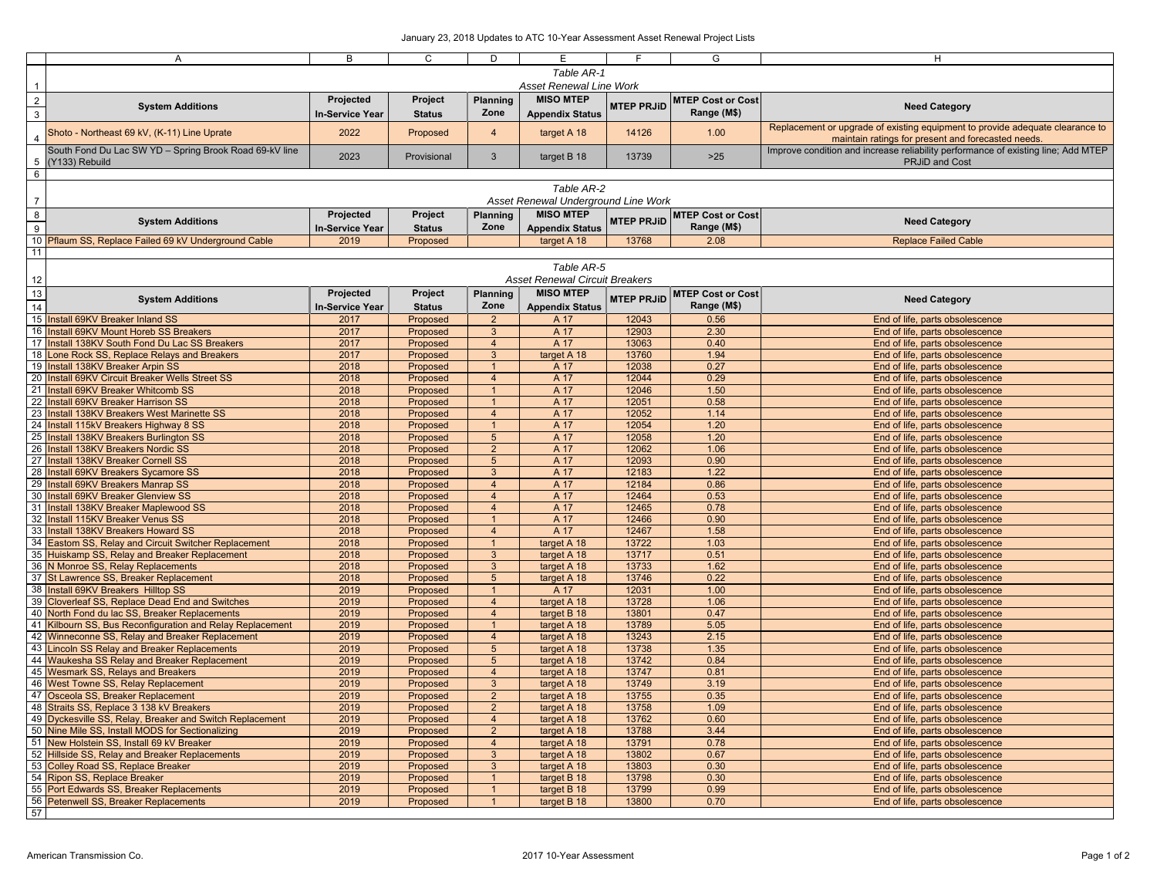|                         | $\overline{A}$                                            | B               | C             | D               | E.                                    | F                 | G                        | н                                                                                 |  |  |  |
|-------------------------|-----------------------------------------------------------|-----------------|---------------|-----------------|---------------------------------------|-------------------|--------------------------|-----------------------------------------------------------------------------------|--|--|--|
|                         |                                                           |                 |               |                 | Table AR-1                            |                   |                          |                                                                                   |  |  |  |
|                         |                                                           |                 |               |                 |                                       |                   |                          |                                                                                   |  |  |  |
| $\overline{1}$          | <b>Asset Renewal Line Work</b>                            |                 |               |                 |                                       |                   |                          |                                                                                   |  |  |  |
| $\overline{2}$          |                                                           | Projected       | Project       | Planning        | <b>MISO MTEP</b>                      |                   | <b>MTEP Cost or Cost</b> |                                                                                   |  |  |  |
|                         | <b>System Additions</b>                                   | In-Service Year | <b>Status</b> | Zone            | <b>Appendix Status</b>                | <b>MTEP PRJID</b> | Range (M\$)              | <b>Need Category</b>                                                              |  |  |  |
| $\overline{\mathbf{3}}$ |                                                           |                 |               |                 |                                       |                   |                          |                                                                                   |  |  |  |
|                         | Shoto - Northeast 69 kV, (K-11) Line Uprate               | 2022            | Proposed      | $\overline{4}$  | target A 18                           | 14126             | 1.00                     | Replacement or upgrade of existing equipment to provide adequate clearance to     |  |  |  |
| $\overline{4}$          |                                                           |                 |               |                 |                                       |                   |                          | maintain ratings for present and forecasted needs.                                |  |  |  |
|                         | South Fond Du Lac SW YD - Spring Brook Road 69-kV line    |                 |               |                 |                                       |                   |                          | Improve condition and increase reliability performance of existing line; Add MTEP |  |  |  |
| 5                       | (Y133) Rebuild                                            | 2023            | Provisional   | 3               | target B 18                           | 13739             | $>25$                    | <b>PRJiD and Cost</b>                                                             |  |  |  |
|                         |                                                           |                 |               |                 |                                       |                   |                          |                                                                                   |  |  |  |
| $6\overline{6}$         |                                                           |                 |               |                 |                                       |                   |                          |                                                                                   |  |  |  |
|                         |                                                           |                 |               |                 | Table AR-2                            |                   |                          |                                                                                   |  |  |  |
| $\overline{7}$          |                                                           |                 |               |                 | Asset Renewal Underground Line Work   |                   |                          |                                                                                   |  |  |  |
|                         |                                                           |                 |               |                 |                                       |                   |                          |                                                                                   |  |  |  |
| $\boldsymbol{8}$        | <b>System Additions</b>                                   | Projected       | Project       | <b>Planning</b> | <b>MISO MTEP</b>                      | <b>MTEP PRJID</b> | <b>MTEP Cost or Cost</b> | <b>Need Category</b>                                                              |  |  |  |
| $\boldsymbol{9}$        |                                                           | In-Service Year | <b>Status</b> | Zone            | <b>Appendix Status</b>                |                   | Range (M\$)              |                                                                                   |  |  |  |
|                         |                                                           | 2019            |               |                 |                                       | 13768             | 2.08                     |                                                                                   |  |  |  |
|                         | 10 Pflaum SS, Replace Failed 69 kV Underground Cable      |                 | Proposed      |                 | target A 18                           |                   |                          | <b>Replace Failed Cable</b>                                                       |  |  |  |
| 11                      |                                                           |                 |               |                 |                                       |                   |                          |                                                                                   |  |  |  |
|                         |                                                           |                 |               |                 | Table AR-5                            |                   |                          |                                                                                   |  |  |  |
|                         |                                                           |                 |               |                 | <b>Asset Renewal Circuit Breakers</b> |                   |                          |                                                                                   |  |  |  |
| 12                      |                                                           |                 |               |                 |                                       |                   |                          |                                                                                   |  |  |  |
| 13                      |                                                           | Projected       | Project       | Planning        | <b>MISO MTEP</b>                      | <b>MTEP PRJID</b> | <b>MTEP Cost or Cost</b> |                                                                                   |  |  |  |
| 14                      | <b>System Additions</b>                                   | In-Service Year | <b>Status</b> | Zone            | <b>Appendix Status</b>                |                   | Range (M\$)              | <b>Need Category</b>                                                              |  |  |  |
|                         |                                                           |                 |               |                 |                                       |                   |                          |                                                                                   |  |  |  |
|                         | 15 Install 69KV Breaker Inland SS                         | 2017            | Proposed      | $\overline{2}$  | A 17                                  | 12043             | 0.56                     | End of life, parts obsolescence                                                   |  |  |  |
|                         | 16 Install 69KV Mount Horeb SS Breakers                   | 2017            | Proposed      | 3               | A 17                                  | 12903             | 2.30                     | End of life, parts obsolescence                                                   |  |  |  |
|                         | 17 Install 138KV South Fond Du Lac SS Breakers            | 2017            | Proposed      | $\overline{4}$  | A 17                                  | 13063             | 0.40                     | End of life, parts obsolescence                                                   |  |  |  |
|                         | 18 Lone Rock SS, Replace Relays and Breakers              | 2017            | Proposed      | $\mathbf{3}$    | target A 18                           | 13760             | 1.94                     | End of life, parts obsolescence                                                   |  |  |  |
|                         |                                                           |                 |               |                 |                                       |                   |                          |                                                                                   |  |  |  |
|                         | 19 Install 138KV Breaker Arpin SS                         | 2018            | Proposed      | $\mathbf{1}$    | A 17                                  | 12038             | 0.27                     | End of life, parts obsolescence                                                   |  |  |  |
|                         | 20 Install 69KV Circuit Breaker Wells Street SS           | 2018            | Proposed      | $\overline{4}$  | A 17                                  | 12044             | 0.29                     | End of life, parts obsolescence                                                   |  |  |  |
|                         | 21 Install 69KV Breaker Whitcomb SS                       | 2018            | Proposed      | $\overline{1}$  | A 17                                  | 12046             | 1.50                     | End of life, parts obsolescence                                                   |  |  |  |
|                         | 22 Install 69KV Breaker Harrison SS                       | 2018            | Proposed      | $\mathbf{1}$    | A 17                                  | 12051             | 0.58                     | End of life, parts obsolescence                                                   |  |  |  |
|                         |                                                           |                 |               |                 |                                       |                   |                          |                                                                                   |  |  |  |
|                         | 23 Install 138KV Breakers West Marinette SS               | 2018            | Proposed      | $\overline{4}$  | A 17                                  | 12052             | 1.14                     | End of life, parts obsolescence                                                   |  |  |  |
|                         | 24 Install 115kV Breakers Highway 8 SS                    | 2018            | Proposed      | $\mathbf{1}$    | A 17                                  | 12054             | 1.20                     | End of life, parts obsolescence                                                   |  |  |  |
|                         | 25 Install 138KV Breakers Burlington SS                   | 2018            | Proposed      | $5\phantom{.0}$ | A 17                                  | 12058             | 1.20                     | End of life, parts obsolescence                                                   |  |  |  |
|                         | 26 Install 138KV Breakers Nordic SS                       | 2018            | Proposed      | $\overline{2}$  | A 17                                  | 12062             | 1.06                     | End of life, parts obsolescence                                                   |  |  |  |
|                         |                                                           |                 |               |                 |                                       |                   |                          |                                                                                   |  |  |  |
|                         | 27 Install 138KV Breaker Cornell SS                       | 2018            | Proposed      | $5\phantom{.0}$ | A 17                                  | 12093             | 0.90                     | End of life, parts obsolescence                                                   |  |  |  |
|                         | 28 Install 69KV Breakers Sycamore SS                      | 2018            | Proposed      | $\overline{3}$  | A 17                                  | 12183             | 1.22                     | End of life, parts obsolescence                                                   |  |  |  |
|                         | 29 Install 69KV Breakers Manrap SS                        | 2018            | Proposed      | $\overline{4}$  | A 17                                  | 12184             | 0.86                     | End of life, parts obsolescence                                                   |  |  |  |
|                         | 30 Install 69KV Breaker Glenview SS                       | 2018            | Proposed      | $\overline{4}$  | A 17                                  | 12464             | 0.53                     | End of life, parts obsolescence                                                   |  |  |  |
|                         | 31 Install 138KV Breaker Maplewood SS                     | 2018            |               | $\overline{4}$  | A 17                                  | 12465             | 0.78                     |                                                                                   |  |  |  |
|                         |                                                           |                 | Proposed      |                 |                                       |                   |                          | End of life, parts obsolescence                                                   |  |  |  |
|                         | 32 Install 115KV Breaker Venus SS                         | 2018            | Proposed      | $\mathbf{1}$    | A 17                                  | 12466             | 0.90                     | End of life, parts obsolescence                                                   |  |  |  |
|                         | 33 Install 138KV Breakers Howard SS                       | 2018            | Proposed      | $\overline{4}$  | A 17                                  | 12467             | 1.58                     | End of life, parts obsolescence                                                   |  |  |  |
|                         | 34 Eastom SS, Relay and Circuit Switcher Replacement      | 2018            | Proposed      | $\mathbf{1}$    | target A 18                           | 13722             | 1.03                     | End of life, parts obsolescence                                                   |  |  |  |
|                         | 35 Huiskamp SS, Relay and Breaker Replacement             | 2018            | Proposed      | $\mathbf{3}$    | target A 18                           | 13717             | 0.51                     | End of life, parts obsolescence                                                   |  |  |  |
|                         | 36 N Monroe SS, Relay Replacements                        | 2018            |               | 3               |                                       | 13733             | 1.62                     |                                                                                   |  |  |  |
|                         |                                                           |                 | Proposed      |                 | target A 18                           |                   |                          | End of life, parts obsolescence                                                   |  |  |  |
|                         | 37 St Lawrence SS, Breaker Replacement                    | 2018            | Proposed      | $5\phantom{.0}$ | target A 18                           | 13746             | 0.22                     | End of life, parts obsolescence                                                   |  |  |  |
|                         | 38 Install 69KV Breakers Hilltop SS                       | 2019            | Proposed      | $\mathbf{1}$    | A 17                                  | 12031             | 1.00                     | End of life, parts obsolescence                                                   |  |  |  |
|                         | 39 Cloverleaf SS, Replace Dead End and Switches           | 2019            | Proposed      | $\overline{4}$  | target A 18                           | 13728             | 1.06                     | End of life, parts obsolescence                                                   |  |  |  |
|                         | 40 North Fond du lac SS, Breaker Replacements             | 2019            | Proposed      | $\overline{4}$  | target B 18                           | 13801             | 0.47                     | End of life, parts obsolescence                                                   |  |  |  |
|                         |                                                           |                 |               |                 |                                       | 13789             |                          |                                                                                   |  |  |  |
|                         | 41 Kilbourn SS, Bus Reconfiguration and Relay Replacement | 2019            | Proposed      | $\mathbf{1}$    | target A 18                           |                   | 5.05                     | End of life, parts obsolescence                                                   |  |  |  |
|                         | 42 Winneconne SS, Relay and Breaker Replacement           | 2019            | Proposed      | $\overline{4}$  | target A 18                           | 13243             | 2.15                     | End of life, parts obsolescence                                                   |  |  |  |
|                         | 43 Lincoln SS Relay and Breaker Replacements              | 2019            | Proposed      | $5\phantom{.0}$ | target A 18                           | 13738             | 1.35                     | End of life, parts obsolescence                                                   |  |  |  |
|                         | 44 Waukesha SS Relay and Breaker Replacement              | 2019            | Proposed      | $5\phantom{.0}$ | target A 18                           | 13742             | 0.84                     | End of life, parts obsolescence                                                   |  |  |  |
|                         | 45 Wesmark SS, Relays and Breakers                        | 2019            | Proposed      | $\overline{4}$  | target A 18                           | 13747             | 0.81                     | End of life, parts obsolescence                                                   |  |  |  |
|                         |                                                           |                 |               |                 |                                       |                   |                          |                                                                                   |  |  |  |
|                         | 46 West Towne SS, Relay Replacement                       | 2019            | Proposed      | $\overline{3}$  | target A 18                           | 13749             | 3.19                     | End of life, parts obsolescence                                                   |  |  |  |
|                         | 47 Osceola SS, Breaker Replacement                        | 2019            | Proposed      | $\overline{2}$  | target A 18                           | 13755             | 0.35                     | End of life, parts obsolescence                                                   |  |  |  |
|                         | 48 Straits SS, Replace 3 138 kV Breakers                  | 2019            | Proposed      | $\overline{2}$  | target A 18                           | 13758             | 1.09                     | End of life, parts obsolescence                                                   |  |  |  |
|                         | 49 Dyckesville SS, Relay, Breaker and Switch Replacement  | 2019            | Proposed      | $\overline{4}$  | target A 18                           | 13762             | 0.60                     | End of life, parts obsolescence                                                   |  |  |  |
|                         | 50 Nine Mile SS, Install MODS for Sectionalizing          | 2019            | Proposed      | $\overline{2}$  | target A 18                           | 13788             | 3.44                     | End of life, parts obsolescence                                                   |  |  |  |
|                         |                                                           |                 |               |                 |                                       |                   |                          |                                                                                   |  |  |  |
|                         | 51 New Holstein SS, Install 69 kV Breaker                 | 2019            | Proposed      | $\overline{4}$  | target A 18                           | 13791             | 0.78                     | End of life, parts obsolescence                                                   |  |  |  |
|                         | 52 Hillside SS, Relay and Breaker Replacements            | 2019            | Proposed      | $\mathbf{3}$    | target A 18                           | 13802             | 0.67                     | End of life, parts obsolescence                                                   |  |  |  |
|                         | 53 Colley Road SS, Replace Breaker                        | 2019            | Proposed      | $\mathbf{3}$    | target A 18                           | 13803             | 0.30                     | End of life, parts obsolescence                                                   |  |  |  |
|                         | 54 Ripon SS, Replace Breaker                              | 2019            | Proposed      | $\overline{1}$  | target B 18                           | 13798             | 0.30                     | End of life, parts obsolescence                                                   |  |  |  |
|                         | 55 Port Edwards SS, Breaker Replacements                  | 2019            |               | $\overline{1}$  |                                       | 13799             | 0.99                     | End of life, parts obsolescence                                                   |  |  |  |
|                         |                                                           |                 | Proposed      |                 | target B 18                           |                   |                          |                                                                                   |  |  |  |
|                         | 56 Petenwell SS, Breaker Replacements                     | 2019            | Proposed      | $\mathbf{1}$    | target B 18                           | 13800             | 0.70                     | End of life, parts obsolescence                                                   |  |  |  |
| 57                      |                                                           |                 |               |                 |                                       |                   |                          |                                                                                   |  |  |  |